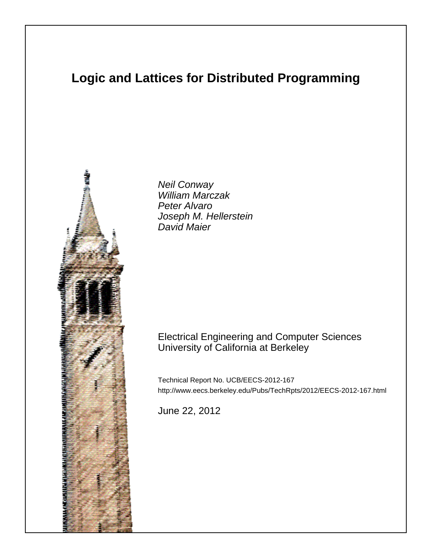# **Logic and Lattices for Distributed Programming**



Neil Conway William Marczak Peter Alvaro Joseph M. Hellerstein David Maier

## Electrical Engineering and Computer Sciences University of California at Berkeley

Technical Report No. UCB/EECS-2012-167 http://www.eecs.berkeley.edu/Pubs/TechRpts/2012/EECS-2012-167.html

June 22, 2012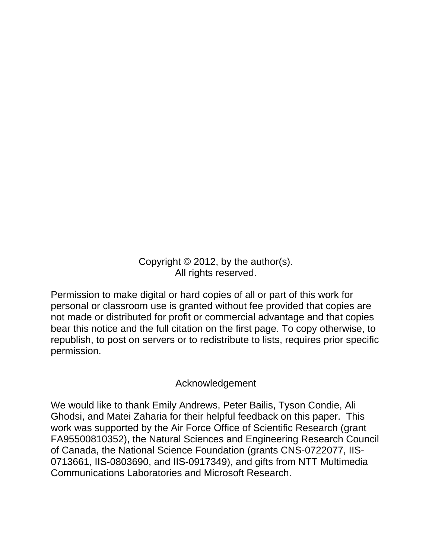Copyright © 2012, by the author(s). All rights reserved.

Permission to make digital or hard copies of all or part of this work for personal or classroom use is granted without fee provided that copies are not made or distributed for profit or commercial advantage and that copies bear this notice and the full citation on the first page. To copy otherwise, to republish, to post on servers or to redistribute to lists, requires prior specific permission.

## Acknowledgement

We would like to thank Emily Andrews, Peter Bailis, Tyson Condie, Ali Ghodsi, and Matei Zaharia for their helpful feedback on this paper. This work was supported by the Air Force Office of Scientific Research (grant FA95500810352), the Natural Sciences and Engineering Research Council of Canada, the National Science Foundation (grants CNS-0722077, IIS-0713661, IIS-0803690, and IIS-0917349), and gifts from NTT Multimedia Communications Laboratories and Microsoft Research.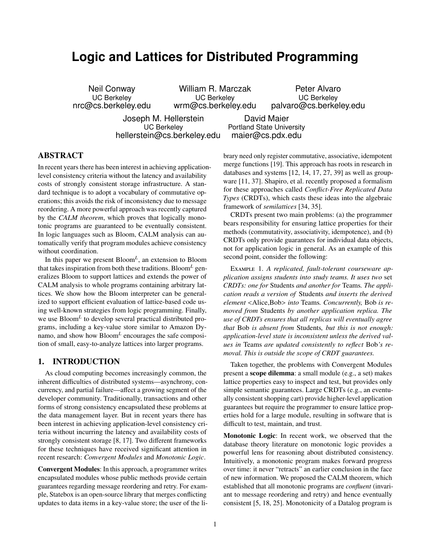# **Logic and Lattices for Distributed Programming**

Neil Conway UC Berkeley nrc@cs.berkeley.edu

William R. Marczak UC Berkeley wrm@cs.berkeley.edu

Peter Alvaro UC Berkeley palvaro@cs.berkeley.edu

Joseph M. Hellerstein UC Berkeley hellerstein@cs.berkeley.edu

David Maier Portland State University maier@cs.pdx.edu

## ABSTRACT

In recent years there has been interest in achieving applicationlevel consistency criteria without the latency and availability costs of strongly consistent storage infrastructure. A standard technique is to adopt a vocabulary of commutative operations; this avoids the risk of inconsistency due to message reordering. A more powerful approach was recently captured by the *CALM theorem*, which proves that logically monotonic programs are guaranteed to be eventually consistent. In logic languages such as Bloom, CALM analysis can automatically verify that program modules achieve consistency without coordination.

In this paper we present Bloom*<sup>L</sup>* , an extension to Bloom that takes inspiration from both these traditions. Bloom*<sup>L</sup>* generalizes Bloom to support lattices and extends the power of CALM analysis to whole programs containing arbitrary lattices. We show how the Bloom interpreter can be generalized to support efficient evaluation of lattice-based code using well-known strategies from logic programming. Finally, we use Bloom*<sup>L</sup>* to develop several practical distributed programs, including a key-value store similar to Amazon Dynamo, and show how Bloom*<sup>L</sup>* encourages the safe composition of small, easy-to-analyze lattices into larger programs.

## <span id="page-2-0"></span>1. INTRODUCTION

As cloud computing becomes increasingly common, the inherent difficulties of distributed systems—asynchrony, concurrency, and partial failure—affect a growing segment of the developer community. Traditionally, transactions and other forms of strong consistency encapsulated these problems at the data management layer. But in recent years there has been interest in achieving application-level consistency criteria without incurring the latency and availability costs of strongly consistent storage [\[8,](#page-15-0) [17\]](#page-15-1). Two different frameworks for these techniques have received significant attention in recent research: *Convergent Modules* and *Monotonic Logic*.

Convergent Modules: In this approach, a programmer writes encapsulated modules whose public methods provide certain guarantees regarding message reordering and retry. For example, Statebox is an open-source library that merges conflicting updates to data items in a key-value store; the user of the library need only register commutative, associative, idempotent merge functions [\[19\]](#page-15-2). This approach has roots in research in databases and systems [\[12,](#page-15-3) [14,](#page-15-4) [17,](#page-15-1) [27,](#page-15-5) [39\]](#page-16-0) as well as groupware [\[11,](#page-15-6) [37\]](#page-16-1). Shapiro, et al. recently proposed a formalism for these approaches called *Conflict-Free Replicated Data Types* (CRDTs), which casts these ideas into the algebraic framework of *semilattices* [\[34,](#page-16-2) [35\]](#page-16-3).

CRDTs present two main problems: (a) the programmer bears responsibility for ensuring lattice properties for their methods (commutativity, associativity, idempotence), and (b) CRDTs only provide guarantees for individual data objects, not for application logic in general. As an example of this second point, consider the following:

Example 1. *A replicated, fault-tolerant courseware application assigns students into study teams. It uses two* set *CRDTs: one for* Students *and another for* Teams*. The application reads a version of* Students *and inserts the derived element* <Alice,Bob> *into* Teams*. Concurrently,* Bob *is removed from* Students *by another application replica. The use of CRDTs ensures that all replicas will eventually agree that* Bob *is absent from* Students*, but this is not enough: application-level state is inconsistent unless the derived values in* Teams *are updated consistently to reflect* Bob*'s removal. This is outside the scope of CRDT guarantees.*

Taken together, the problems with Convergent Modules present a scope dilemma: a small module (e.g., a set) makes lattice properties easy to inspect and test, but provides only simple semantic guarantees. Large CRDTs (e.g., an eventually consistent shopping cart) provide higher-level application guarantees but require the programmer to ensure lattice properties hold for a large module, resulting in software that is difficult to test, maintain, and trust.

Monotonic Logic: In recent work, we observed that the database theory literature on monotonic logic provides a powerful lens for reasoning about distributed consistency. Intuitively, a monotonic program makes forward progress over time: it never "retracts" an earlier conclusion in the face of new information. We proposed the CALM theorem, which established that all monotonic programs are *confluent* (invariant to message reordering and retry) and hence eventually consistent [\[5,](#page-15-7) [18,](#page-15-8) [25\]](#page-15-9). Monotonicity of a Datalog program is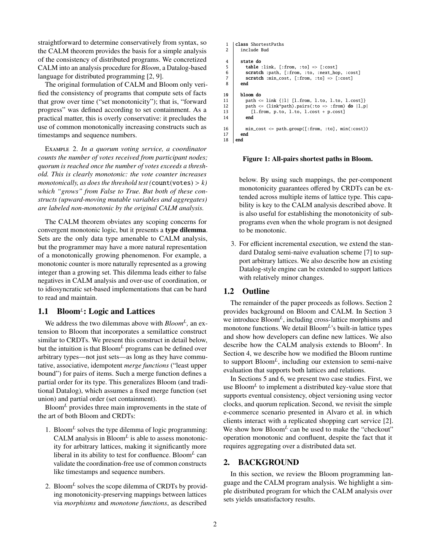straightforward to determine conservatively from syntax, so the CALM theorem provides the basis for a simple analysis of the consistency of distributed programs. We concretized CALM into an analysis procedure for *Bloom*, a Datalog-based language for distributed programming [\[2,](#page-15-10) [9\]](#page-15-11).

The original formulation of CALM and Bloom only verified the consistency of programs that compute sets of facts that grow over time ("set monotonicity"); that is, "forward progress" was defined according to set containment. As a practical matter, this is overly conservative: it precludes the use of common monotonically increasing constructs such as timestamps and sequence numbers.

Example 2. *In a quorum voting service, a coordinator counts the number of votes received from participant nodes; quorum is reached once the number of votes exceeds a threshold. This is clearly monotonic: the vote counter increases monotonically, as does the threshold test* ( $count(votes) > k$ ) *which "grows" from False to True. But both of these constructs (upward-moving mutable variables and aggregates) are labeled non-monotonic by the original CALM analysis.*

The CALM theorem obviates any scoping concerns for convergent monotonic logic, but it presents a type dilemma. Sets are the only data type amenable to CALM analysis, but the programmer may have a more natural representation of a monotonically growing phenomenon. For example, a monotonic counter is more naturally represented as a growing integer than a growing set. This dilemma leads either to false negatives in CALM analysis and over-use of coordination, or to idiosyncratic set-based implementations that can be hard to read and maintain.

## 1.1 Bloom<sup>L</sup>: Logic and Lattices

We address the two dilemmas above with *Bloom<sup>L</sup> ,* an extension to Bloom that incorporates a semilattice construct similar to CRDTs. We present this construct in detail below, but the intuition is that Bloom*<sup>L</sup>* programs can be defined over arbitrary types—not just sets—as long as they have commutative, associative, idempotent *merge functions* ("least upper bound") for pairs of items. Such a merge function defines a partial order for its type. This generalizes Bloom (and traditional Datalog), which assumes a fixed merge function (set union) and partial order (set containment).

Bloom*<sup>L</sup>* provides three main improvements in the state of the art of both Bloom and CRDTs:

- 1. Bloom*<sup>L</sup>* solves the type dilemma of logic programming: CALM analysis in Bloom*<sup>L</sup>* is able to assess monotonicity for arbitrary lattices, making it significantly more liberal in its ability to test for confluence. Bloom*<sup>L</sup>* can validate the coordination-free use of common constructs like timestamps and sequence numbers.
- 2. Bloom*<sup>L</sup>* solves the scope dilemma of CRDTs by providing monotonicity-preserving mappings between lattices via *morphisms* and *monotone functions*, as described

```
1 class ShortestPaths
 2 include Bud
 4 state do
 5 table :link, [:from, :to] \Rightarrow [:cost]<br>6 scratch :path, [:from, :to, :next_ho
 6 scratch :path, [:from, :to, :next_hop, :cost]<br>7 scratch :min cost. [:from. :to] => [:cost]
             scratch :min_cost, [:from, :to] => [:cost]
 8 end
\begin{array}{c|c}\n 10 & \text{bloom do} \\
 11 & \text{path &}\n\end{array}11 path \le link \{|1| [l.from, l.to, l.to, l.cost]}<br>12 path \le (link*path).pairs(:to => :from) do |l.p
             path \leq (link*path).pairs(:to => :from) do |l,p|
13 [l.from, p.to, l.to, l.cost + p.cost]
1416 min_cost \le path.group([:from, :to], min(:cost))<br>17 end
\begin{array}{c|c} 17 & \text{end} \\ 18 & \text{end} \end{array}end
```
<span id="page-3-6"></span><span id="page-3-5"></span><span id="page-3-4"></span><span id="page-3-1"></span>Figure 1: All-pairs shortest paths in Bloom.

below. By using such mappings, the per-component monotonicity guarantees offered by CRDTs can be extended across multiple items of lattice type. This capability is key to the CALM analysis described above. It is also useful for establishing the monotonicity of subprograms even when the whole program is not designed to be monotonic.

3. For efficient incremental execution, we extend the standard Datalog semi-naive evaluation scheme [\[7\]](#page-15-12) to support arbitrary lattices. We also describe how an existing Datalog-style engine can be extended to support lattices with relatively minor changes.

## 1.2 Outline

The remainder of the paper proceeds as follows. Section [2](#page-3-0) provides background on Bloom and CALM. In Section [3](#page-5-0) we introduce Bloom<sup>L</sup>, including cross-lattice morphisms and monotone functions. We detail Bloom*<sup>L</sup>* 's built-in lattice types and show how developers can define new lattices. We also describe how the CALM analysis extends to Bloom*<sup>L</sup>* . In Section [4,](#page-9-0) we describe how we modified the Bloom runtime to support Bloom*<sup>L</sup>* , including our extension to semi-naive evaluation that supports both lattices and relations.

In Sections [5](#page-10-0) and [6,](#page-12-0) we present two case studies. First, we use Bloom*<sup>L</sup>* to implement a distributed key-value store that supports eventual consistency, object versioning using vector clocks, and quorum replication. Second, we revisit the simple e-commerce scenario presented in Alvaro et al. in which clients interact with a replicated shopping cart service [\[2\]](#page-15-10). We show how Bloom<sup>L</sup> can be used to make the "checkout" operation monotonic and confluent, despite the fact that it requires aggregating over a distributed data set.

## <span id="page-3-0"></span>2. BACKGROUND

In this section, we review the Bloom programming language and the CALM program analysis. We highlight a simple distributed program for which the CALM analysis over sets yields unsatisfactory results.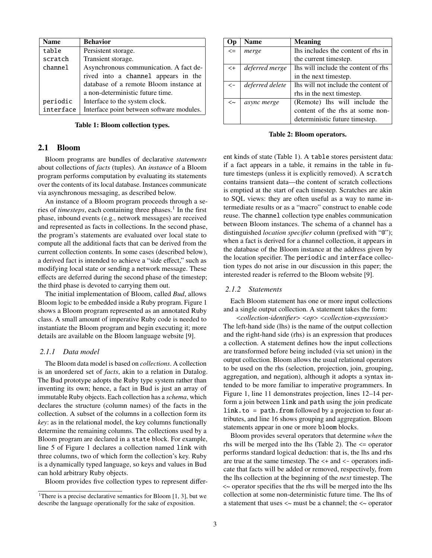| Name      | <b>Behavior</b>                           |  |  |  |  |
|-----------|-------------------------------------------|--|--|--|--|
| table     | Persistent storage.                       |  |  |  |  |
| scratch   | Transient storage.                        |  |  |  |  |
| channel   | Asynchronous communication. A fact de-    |  |  |  |  |
|           | rived into a channel appears in the       |  |  |  |  |
|           | database of a remote Bloom instance at    |  |  |  |  |
|           | a non-deterministic future time.          |  |  |  |  |
| periodic  | Interface to the system clock.            |  |  |  |  |
| interface | Interface point between software modules. |  |  |  |  |

<span id="page-4-1"></span>Table 1: Bloom collection types.

## 2.1 Bloom

Bloom programs are bundles of declarative *statements* about collections of *facts* (tuples). An *instance* of a Bloom program performs computation by evaluating its statements over the contents of its local database. Instances communicate via asynchronous messaging, as described below.

An instance of a Bloom program proceeds through a series of *timesteps*, each containing three phases.<sup>[1](#page-4-0)</sup> In the first phase, inbound events (e.g., network messages) are received and represented as facts in collections. In the second phase, the program's statements are evaluated over local state to compute all the additional facts that can be derived from the current collection contents. In some cases (described below), a derived fact is intended to achieve a "side effect," such as modifying local state or sending a network message. These effects are deferred during the second phase of the timestep; the third phase is devoted to carrying them out.

The initial implementation of Bloom, called *Bud*, allows Bloom logic to be embedded inside a Ruby program. Figure [1](#page-3-1) shows a Bloom program represented as an annotated Ruby class. A small amount of imperative Ruby code is needed to instantiate the Bloom program and begin executing it; more details are available on the Bloom language website [\[9\]](#page-15-11).

#### *2.1.1 Data model*

The Bloom data model is based on *collections*. A collection is an unordered set of *facts*, akin to a relation in Datalog. The Bud prototype adopts the Ruby type system rather than inventing its own; hence, a fact in Bud is just an array of immutable Ruby objects. Each collection has a *schema*, which declares the structure (column names) of the facts in the collection. A subset of the columns in a collection form its *key*: as in the relational model, the key columns functionally determine the remaining columns. The collections used by a Bloom program are declared in a state block. For example, line [5](#page-3-2) of Figure [1](#page-3-1) declares a collection named link with three columns, two of which form the collection's key. Ruby is a dynamically typed language, so keys and values in Bud can hold arbitrary Ruby objects.

Bloom provides five collection types to represent differ-

| Op           | <b>Name</b>     | <b>Meaning</b>                      |  |  |
|--------------|-----------------|-------------------------------------|--|--|
| $\leq$       | merge           | lhs includes the content of rhs in  |  |  |
|              |                 | the current timestep.               |  |  |
| $< +$        | deferred merge  | Ihs will include the content of rhs |  |  |
|              |                 | in the next timestep.               |  |  |
| $\leftarrow$ | deferred delete | lhs will not include the content of |  |  |
|              |                 | rhs in the next timestep.           |  |  |
| <∼           | async merge     | (Remote) lhs will include the       |  |  |
|              |                 | content of the rhs at some non-     |  |  |
|              |                 | deterministic future timestep.      |  |  |

<span id="page-4-2"></span>Table 2: Bloom operators.

ent kinds of state (Table [1\)](#page-4-1). A table stores persistent data: if a fact appears in a table, it remains in the table in future timesteps (unless it is explicitly removed). A scratch contains transient data—the content of scratch collections is emptied at the start of each timestep. Scratches are akin to SQL views: they are often useful as a way to name intermediate results or as a "macro" construct to enable code reuse. The channel collection type enables communication between Bloom instances. The schema of a channel has a distinguished *location specifier* column (prefixed with "@"); when a fact is derived for a channel collection, it appears in the database of the Bloom instance at the address given by the location specifier. The periodic and interface collection types do not arise in our discussion in this paper; the interested reader is referred to the Bloom website [\[9\]](#page-15-11).

#### *2.1.2 Statements*

Each Bloom statement has one or more input collections and a single output collection. A statement takes the form:

<*collection-identifier*> <*op*> <*collection-expression*> The left-hand side (lhs) is the name of the output collection and the right-hand side (rhs) is an expression that produces a collection. A statement defines how the input collections are transformed before being included (via set union) in the output collection. Bloom allows the usual relational operators to be used on the rhs (selection, projection, join, grouping, aggregation, and negation), although it adopts a syntax intended to be more familiar to imperative programmers. In Figure [1,](#page-3-1) line [11](#page-3-3) demonstrates projection, lines [12](#page-3-4)[–14](#page-3-5) perform a join between link and path using the join predicate link.to =  $path$ . from followed by a projection to four attributes, and line [16](#page-3-6) shows grouping and aggregation. Bloom statements appear in one or more bloom blocks.

Bloom provides several operators that determine *when* the rhs will be merged into the lhs (Table [2\)](#page-4-2). The <= operator performs standard logical deduction: that is, the lhs and rhs are true at the same timestep. The <+ and <- operators indicate that facts will be added or removed, respectively, from the lhs collection at the beginning of the *next* timestep. The <~ operator specifies that the rhs will be merged into the lhs collection at some non-deterministic future time. The lhs of a statement that uses <~ must be a channel; the <~ operator

<span id="page-4-0"></span><sup>&</sup>lt;sup>1</sup>There is a precise declarative semantics for Bloom  $[1, 3]$  $[1, 3]$ , but we describe the language operationally for the sake of exposition.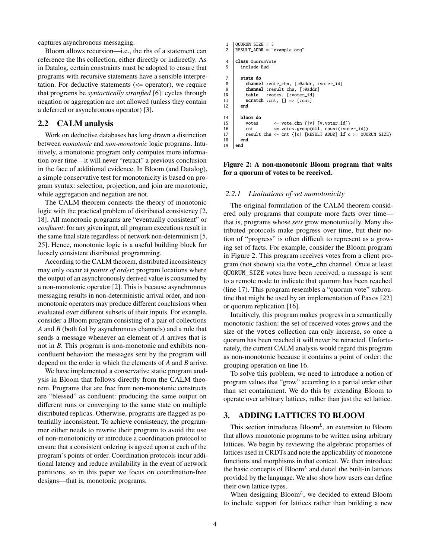captures asynchronous messaging.

Bloom allows recursion—i.e., the rhs of a statement can reference the lhs collection, either directly or indirectly. As in Datalog, certain constraints must be adopted to ensure that programs with recursive statements have a sensible interpretation. For deductive statements  $\ll$  = operator), we require that programs be *syntactically stratified* [\[6\]](#page-15-15): cycles through negation or aggregation are not allowed (unless they contain a deferred or asynchronous operator) [\[3\]](#page-15-14).

### 2.2 CALM analysis

Work on deductive databases has long drawn a distinction between *monotonic* and *non-monotonic* logic programs. Intuitively, a monotonic program only computes more information over time—it will never "retract" a previous conclusion in the face of additional evidence. In Bloom (and Datalog), a simple conservative test for monotonicity is based on program syntax: selection, projection, and join are monotonic, while aggregation and negation are not.

The CALM theorem connects the theory of monotonic logic with the practical problem of distributed consistency [\[2,](#page-15-10) [18\]](#page-15-8). All monotonic programs are "eventually consistent" or *confluent*: for any given input, all program executions result in the same final state regardless of network non-determinism [\[5,](#page-15-7) [25\]](#page-15-9). Hence, monotonic logic is a useful building block for loosely consistent distributed programming.

According to the CALM theorem, distributed inconsistency may only occur at *points of order*: program locations where the output of an asynchronously derived value is consumed by a non-monotonic operator [\[2\]](#page-15-10). This is because asynchronous messaging results in non-deterministic arrival order, and nonmonotonic operators may produce different conclusions when evaluated over different subsets of their inputs. For example, consider a Bloom program consisting of a pair of collections *A* and *B* (both fed by asynchronous channels) and a rule that sends a message whenever an element of *A* arrives that is not in *B*. This program is non-monotonic and exhibits nonconfluent behavior: the messages sent by the program will depend on the order in which the elements of *A* and *B* arrive.

We have implemented a conservative static program analysis in Bloom that follows directly from the CALM theorem. Programs that are free from non-monotonic constructs are "blessed" as confluent: producing the same output on different runs or converging to the same state on multiple distributed replicas. Otherwise, programs are flagged as potentially inconsistent. To achieve consistency, the programmer either needs to rewrite their program to avoid the use of non-monotonicity or introduce a coordination protocol to ensure that a consistent ordering is agreed upon at each of the program's points of order. Coordination protocols incur additional latency and reduce availability in the event of network partitions, so in this paper we focus on coordination-free designs—that is, monotonic programs.

```
1 QUORUM_SIZE = 5
 2 | RESULT ADDR = "example.org"
 4 class QuorumVote
 5 include Bud
 7 state do
 8 channel :vote_chn, [:@addr, :voter_id]<br>9 channel :result chn. [:@addr]
              channel :result_chn, [:@addr]
\begin{array}{c|c} 10 & \text{table} : \text{votes}, \; [\text{:voter_id}] \\ 11 & \text{scrch} : \text{cnt}. \; \square \Rightarrow \text{f:cnt} \end{array}scratch : cnt, [] \Rightarrow [: cnt]
12 end
14 bloom do<br>15 votes
                                \le vote_chn {|v| [v.voter_id]}
16 cnt \langle votes.group(nil, count(:voter_id))<br>17 result_chn \langle cnt {|c| [RESULT_ADDR] if c >= QUO
              result\_chn \ll ent {|c| [RESULT_ADDR] if c >= QUORUM_SIZE}
\begin{array}{c|c} 18 & \text{end} \\ 19 & \text{end} \end{array}end
```
#### <span id="page-5-3"></span><span id="page-5-2"></span><span id="page-5-1"></span>Figure 2: A non-monotonic Bloom program that waits for a quorum of votes to be received.

#### *2.2.1 Limitations of set monotonicity*

The original formulation of the CALM theorem considered only programs that compute more facts over time that is, programs whose *sets* grow monotonically. Many distributed protocols make progress over time, but their notion of "progress" is often difficult to represent as a growing set of facts. For example, consider the Bloom program in Figure [2.](#page-5-1) This program receives votes from a client program (not shown) via the vote\_chn channel. Once at least QUORUM\_SIZE votes have been received, a message is sent to a remote node to indicate that quorum has been reached (line [17\)](#page-5-2). This program resembles a "quorum vote" subroutine that might be used by an implementation of Paxos [\[22\]](#page-15-16) or quorum replication [\[16\]](#page-15-17).

Intuitively, this program makes progress in a semantically monotonic fashion: the set of received votes grows and the size of the votes collection can only increase, so once a quorum has been reached it will never be retracted. Unfortunately, the current CALM analysis would regard this program as non-monotonic because it contains a point of order: the grouping operation on line [16.](#page-5-3)

To solve this problem, we need to introduce a notion of program values that "grow" according to a partial order other than set containment. We do this by extending Bloom to operate over arbitrary lattices, rather than just the set lattice.

## <span id="page-5-0"></span>3. ADDING LATTICES TO BLOOM

This section introduces Bloom*<sup>L</sup>* , an extension to Bloom that allows monotonic programs to be written using arbitrary lattices. We begin by reviewing the algebraic properties of lattices used in CRDTs and note the applicability of monotone functions and morphisms in that context. We then introduce the basic concepts of Bloom*<sup>L</sup>* and detail the built-in lattices provided by the language. We also show how users can define their own lattice types.

When designing Bloom<sup>L</sup>, we decided to extend Bloom to include support for lattices rather than building a new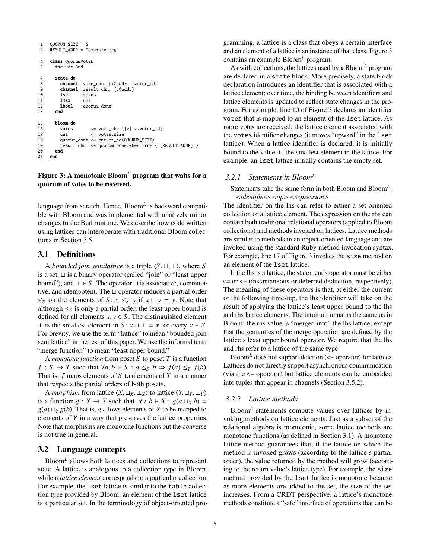```
1 QUORUM_SIZE = 5
 2 RESULT_ADDR = "example.org"
 4 class OuorumVoteL
 5 include Bud
 7 state do
 8 channel :vote_chn, [:@addr, :voter_id]<br>9 channel :result chn. [:@addr]
             channel :result_chn, [:@addr]
\begin{array}{c|cc}\n 10 & \text{lset} & : \text{votes} \\
 11 & \text{lmax} & : \text{cnt}\n \end{array}\begin{array}{c|c}\n 11 & \text{Imax} \\
 12 & \text{1bool}\n \end{array}:quorum_done
13 end
15 bloom do
16 votes \langle vote_chn {|v| v.voter_id}<br>17 cnt \langle votes_size
            cnt \le votes.size
18 quorum_done \le cnt.gt_eq(QUORUM_SIZE)<br>19 result chn \le quorum done when true
            19 result_chn <~ quorum_done.when_true { [RESULT_ADDR] }
20 end
21 end
```
#### <span id="page-6-5"></span><span id="page-6-4"></span><span id="page-6-2"></span><span id="page-6-0"></span>Figure 3: A monotonic Bloom*<sup>L</sup>* program that waits for a quorum of votes to be received.

language from scratch. Hence, Bloom*<sup>L</sup>* is backward compatible with Bloom and was implemented with relatively minor changes to the Bud runtime. We describe how code written using lattices can interoperate with traditional Bloom collections in Section [3.5.](#page-8-0)

#### <span id="page-6-3"></span>3.1 Definitions

A *bounded join semilattice* is a triple  $\langle S, \sqcup, \perp \rangle$ , where *S* is a set,  $\sqcup$  is a binary operator (called "join" or "least upper bound"), and  $\bot \in S$ . The operator  $\bot$  is associative, commutative, and idempotent. The  $\sqcup$  operator induces a partial order ≤*s* on the elements of *S* : *x* ≤*s y* if *x*  $\sqcup$  *y* = *y*. Note that although  $\leq_S$  is only a partial order, the least upper bound is defined for all elements  $x, y \in S$ . The distinguished element ⊥ is the smallest element in *S* :  $x \sqcup \bot = x$  for every  $x \in S$ . For brevity, we use the term "lattice" to mean "bounded join semilattice" in the rest of this paper. We use the informal term "merge function" to mean "least upper bound."

A *monotone function* from poset *S* to poset *T* is a function *f* : *S*  $\rightarrow$  *T* such that  $\forall a, b \in S : a \leq_S b \Rightarrow f(a) \leq_T f(b)$ . That is, *f* maps elements of *S* to elements of *T* in a manner that respects the partial orders of both posets.

A *morphism* from lattice  $\langle X, \sqcup_X, \perp_X \rangle$  to lattice  $\langle Y, \sqcup_Y, \perp_Y \rangle$ is a function  $g: X \to Y$  such that,  $\forall a, b \in X : g(a \sqcup_X b) =$  $g(a) \sqcup_Y g(b)$ . That is, *g* allows elements of *X* to be mapped to elements of *Y* in a way that preserves the lattice properties. Note that morphisms are monotone functions but the converse is not true in general.

## 3.2 Language concepts

Bloom*<sup>L</sup>* allows both lattices and collections to represent state. A lattice is analogous to a collection type in Bloom, while a *lattice element* corresponds to a particular collection. For example, the lset lattice is similar to the table collection type provided by Bloom; an element of the lset lattice is a particular set. In the terminology of object-oriented programming, a lattice is a class that obeys a certain interface and an element of a lattice is an instance of that class. Figure [3](#page-6-0) contains an example Bloom*<sup>L</sup>* program.

As with collections, the lattices used by a Bloom*<sup>L</sup>* program are declared in a state block. More precisely, a state block declaration introduces an identifier that is associated with a lattice element; over time, the binding between identifiers and lattice elements is updated to reflect state changes in the program. For example, line [10](#page-6-1) of Figure [3](#page-6-0) declares an identifier votes that is mapped to an element of the lset lattice. As more votes are received, the lattice element associated with the votes identifier changes (it moves "upward" in the lset lattice). When a lattice identifier is declared, it is initially bound to the value ⊥, the smallest element in the lattice. For example, an lset lattice initially contains the empty set.

#### *3.2.1 Statements in Bloom<sup>L</sup>*

Statements take the same form in both Bloom and Bloom*<sup>L</sup>* : <*identifier*> <*op*> <*expression*>

The identifier on the lhs can refer to either a set-oriented collection or a lattice element. The expression on the rhs can contain both traditional relational operators (applied to Bloom collections) and methods invoked on lattices. Lattice methods are similar to methods in an object-oriented language and are invoked using the standard Ruby method invocation syntax. For example, line [17](#page-6-2) of Figure [3](#page-6-0) invokes the size method on an element of the lset lattice.

If the lhs is a lattice, the statement's operator must be either  $\leq$  or  $\leq$  (instantaneous or deferred deduction, respectively). The meaning of these operators is that, at either the current or the following timestep, the lhs identifier will take on the result of applying the lattice's least upper bound to the lhs and rhs lattice elements. The intuition remains the same as in Bloom: the rhs value is "merged into" the lhs lattice, except that the semantics of the merge operation are defined by the lattice's least upper bound operator. We require that the lhs and rhs refer to a lattice of the same type.

Bloom<sup>L</sup> does not support deletion  $\left(\leq\right)$  operator) for lattices. Lattices do not directly support asynchronous communication (via the <~ operator) but lattice elements can be embedded into tuples that appear in channels (Section [3.5.2\)](#page-8-1).

#### *3.2.2 Lattice methods*

Bloom*<sup>L</sup>* statements compute values over lattices by invoking methods on lattice elements. Just as a subset of the relational algebra is monotonic, some lattice methods are monotone functions (as defined in Section [3.1\)](#page-6-3). A monotone lattice method guarantees that, if the lattice on which the method is invoked grows (according to the lattice's partial order), the value returned by the method will grow (according to the return value's lattice type). For example, the size method provided by the lset lattice is monotone because as more elements are added to the set, the size of the set increases. From a CRDT perspective, a lattice's monotone methods constitute a "safe" interface of operations that can be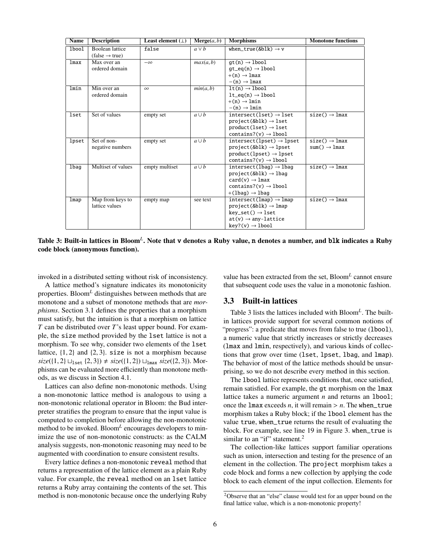| <b>Name</b> | <b>Description</b>                                   | Least element $(\perp)$ | Merge(a, b) | <b>Morphisms</b>                                                                                                                                                           | <b>Monotone functions</b>                             |
|-------------|------------------------------------------------------|-------------------------|-------------|----------------------------------------------------------------------------------------------------------------------------------------------------------------------------|-------------------------------------------------------|
| lbool       | <b>Boolean</b> lattice<br>$(false \rightarrow true)$ | false                   | $a \vee b$  | when_true(&blk) $\rightarrow$ v                                                                                                                                            |                                                       |
| lmax        | Max over an<br>ordered domain                        | $-\infty$               | max(a, b)   | $at(n) \rightarrow lbool$<br>$qt_eq(n) \rightarrow lbool$<br>$+(n) \rightarrow$ lmax<br>$-(n) \rightarrow$ 1 max                                                           |                                                       |
| lmin        | Min over an<br>ordered domain                        | $\infty$                | min(a, b)   | $lt(n) \rightarrow lbool$<br>$lt\_eq(n) \rightarrow lbool$<br>$+(n) \rightarrow lmin$<br>$-(n) \rightarrow lmin$                                                           |                                                       |
| lset        | Set of values                                        | empty set               | $a \cup b$  | $intersect(1set) \rightarrow 1set$<br>$project(\&blk) \rightarrow lset$<br>$product(1set) \rightarrow 1set$<br>contains?( $v$ ) $\rightarrow$ 1boo1                        | $size() \rightarrow lmax$                             |
| lpset       | Set of non-<br>negative numbers                      | empty set               | $a \cup b$  | $intersect(lpset) \rightarrow lpset$<br>$project(&b1k) \rightarrow lpset$<br>$product(lpset) \rightarrow lpset$<br>contains?( $v$ ) $\rightarrow$ 1boo1                    | $size() \rightarrow lmax$<br>$sum() \rightarrow lmax$ |
| lbag        | Multiset of values                                   | empty multiset          | $a \cup b$  | $intersect(lbag) \rightarrow lbag$<br>project(&blk) $\rightarrow$ lbag<br>$card(v) \rightarrow Imax$<br>contains?( $v$ ) $\rightarrow$ 1boo1<br>$+(1baq) \rightarrow 1baq$ | $size() \rightarrow lmax$                             |
| lmap        | Map from keys to<br>lattice values                   | empty map               | see text    | $intersect(lmap) \rightarrow lmap$<br>project(&blk) $\rightarrow$ lmap<br>$key\_set() \rightarrow 1set$<br>$at(v) \rightarrow any-lattice$<br>$key?(v) \rightarrow 1bool$  | $size() \rightarrow lmax$                             |

<span id="page-7-0"></span>Table 3: Built-in lattices in Bloom<sup>*L*</sup>. Note that **v** denotes a Ruby value, **n** denotes a number, and blk indicates a Ruby code block (anonymous function).

invoked in a distributed setting without risk of inconsistency.

A lattice method's signature indicates its monotonicity properties. Bloom*<sup>L</sup>* distinguishes between methods that are monotone and a subset of monotone methods that are *morphisms*. Section [3.1](#page-6-3) defines the properties that a morphism must satisfy, but the intuition is that a morphism on lattice *T* can be distributed over *T*'s least upper bound. For example, the size method provided by the lset lattice is not a morphism. To see why, consider two elements of the lset lattice,  $\{1, 2\}$  and  $\{2, 3\}$ . size is not a morphism because  $size({1, 2} \sqcup_{\text{1set}} {2, 3}) \neq size({1, 2}) \sqcup_{\text{1max}} size({2, 3})$ . Morphisms can be evaluated more efficiently than monotone methods, as we discuss in Section [4.1.](#page-9-1)

Lattices can also define non-monotonic methods. Using a non-monotonic lattice method is analogous to using a non-monotonic relational operator in Bloom: the Bud interpreter stratifies the program to ensure that the input value is computed to completion before allowing the non-monotonic method to be invoked. Bloom*<sup>L</sup>* encourages developers to minimize the use of non-monotonic constructs: as the CALM analysis suggests, non-monotonic reasoning may need to be augmented with coordination to ensure consistent results.

Every lattice defines a non-monotonic reveal method that returns a representation of the lattice element as a plain Ruby value. For example, the reveal method on an lset lattice returns a Ruby array containing the contents of the set. This method is non-monotonic because once the underlying Ruby

value has been extracted from the set, Bloom*<sup>L</sup>* cannot ensure that subsequent code uses the value in a monotonic fashion.

#### <span id="page-7-2"></span>3.3 Built-in lattices

Table [3](#page-7-0) lists the lattices included with Bloom*<sup>L</sup>* . The builtin lattices provide support for several common notions of "progress": a predicate that moves from false to true (1boo1), a numeric value that strictly increases or strictly decreases (lmax and lmin, respectively), and various kinds of collections that grow over time (lset, lpset, lbag, and lmap). The behavior of most of the lattice methods should be unsurprising, so we do not describe every method in this section.

The lbool lattice represents conditions that, once satisfied, remain satisfied. For example, the gt morphism on the lmax lattice takes a numeric argument *n* and returns an lbool; once the  $\text{Imax exceeds } n$ , it will remain  $> n$ . The when\_true morphism takes a Ruby block; if the lbool element has the value true, when\_true returns the result of evaluating the block. For example, see line [19](#page-6-4) in Figure [3.](#page-6-0) when\_true is similar to an "if" statement.<sup>[2](#page-7-1)</sup>

The collection-like lattices support familiar operations such as union, intersection and testing for the presence of an element in the collection. The project morphism takes a code block and forms a new collection by applying the code block to each element of the input collection. Elements for

<span id="page-7-1"></span><sup>2</sup>Observe that an "else" clause would test for an upper bound on the final lattice value, which is a non-monotonic property!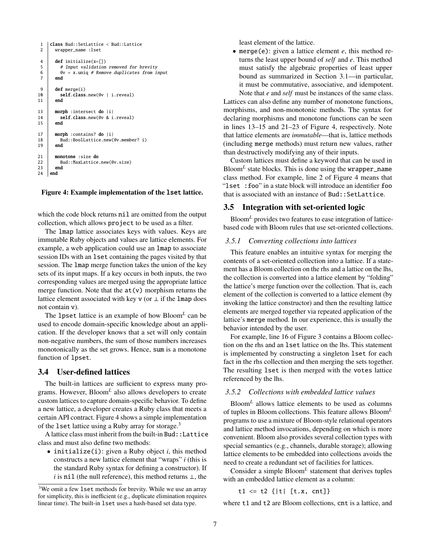```
1 class Bud::SetLattice < Bud::Lattice
2 | wrapper name :lset
4 def initialize(x=[1]
5 # Input validation removed for brevity<br>6 \alpha v = x.uniq # Remove duplicates from in
6 @v = x.\text{unique} # Remove duplicates from input 7 and
        end
9 def merge(i)
10 self.class.new(@v | i.reveal)<br>11 end
        end
13 morph : intersect do |i|<br>14 self.class.new(@v & i
14 self.class.new(@v & i.reveal)
       end
17 morph :contains? do |i|
18 Bud::BoolLattice.new(@v.member? i)<br>19 end
        end
21 monotone :size do<br>22 Bud::MaxLattice
         22 Bud::MaxLattice.new(@v.size)
23 end
24 end
```
#### <span id="page-8-7"></span><span id="page-8-6"></span><span id="page-8-5"></span><span id="page-8-2"></span>Figure 4: Example implementation of the lset lattice.

which the code block returns nil are omitted from the output collection, which allows project to be used as a filter.

The lmap lattice associates keys with values. Keys are immutable Ruby objects and values are lattice elements. For example, a web application could use an lmap to associate session IDs with an lset containing the pages visited by that session. The lmap merge function takes the union of the key sets of its input maps. If a key occurs in both inputs, the two corresponding values are merged using the appropriate lattice merge function. Note that the  $at(v)$  morphism returns the lattice element associated with key v (or  $\perp$  if the lmap does not contain v).

The lpset lattice is an example of how Bloom*<sup>L</sup>* can be used to encode domain-specific knowledge about an application. If the developer knows that a set will only contain non-negative numbers, the sum of those numbers increases monotonically as the set grows. Hence, sum is a monotone function of lpset.

#### 3.4 User-defined lattices

The built-in lattices are sufficient to express many programs. However, Bloom*<sup>L</sup>* also allows developers to create custom lattices to capture domain-specific behavior. To define a new lattice, a developer creates a Ruby class that meets a certain API contract. Figure [4](#page-8-2) shows a simple implementation of the 1set lattice using a Ruby array for storage.<sup>[3](#page-8-3)</sup>

A lattice class must inherit from the built-in Bud::Lattice class and must also define two methods:

• initialize(i): given a Ruby object *i*, this method constructs a new lattice element that "wraps" *i* (this is the standard Ruby syntax for defining a constructor). If *i* is nil (the null reference), this method returns ⊥, the least element of the lattice.

• merge(e): given a lattice element *e*, this method returns the least upper bound of *self* and *e*. This method must satisfy the algebraic properties of least upper bound as summarized in Section [3.1—](#page-6-3)in particular, it must be commutative, associative, and idempotent. Note that *e* and *self* must be instances of the same class.

Lattices can also define any number of monotone functions, morphisms, and non-monotonic methods. The syntax for declaring morphisms and monotone functions can be seen in lines [13–](#page-8-4)[15](#page-8-5) and [21](#page-8-6)[–23](#page-8-7) of Figure [4,](#page-8-2) respectively. Note that lattice elements are *immutable*—that is, lattice methods (including merge methods) must return new values, rather than destructively modifying any of their inputs.

Custom lattices must define a keyword that can be used in Bloom*<sup>L</sup>* state blocks. This is done using the wrapper\_name class method. For example, line [2](#page-8-8) of Figure [4](#page-8-2) means that "lset :foo" in a state block will introduce an identifier foo that is associated with an instance of Bud::SetLattice.

#### <span id="page-8-0"></span>3.5 Integration with set-oriented logic

Bloom*<sup>L</sup>* provides two features to ease integration of latticebased code with Bloom rules that use set-oriented collections.

#### *3.5.1 Converting collections into lattices*

This feature enables an intuitive syntax for merging the contents of a set-oriented collection into a lattice. If a statement has a Bloom collection on the rhs and a lattice on the lhs, the collection is converted into a lattice element by "folding" the lattice's merge function over the collection. That is, each element of the collection is converted to a lattice element (by invoking the lattice constructor) and then the resulting lattice elements are merged together via repeated application of the lattice's merge method. In our experience, this is usually the behavior intended by the user.

For example, line [16](#page-6-5) of Figure [3](#page-6-0) contains a Bloom collection on the rhs and an lset lattice on the lhs. This statement is implemented by constructing a singleton lset for each fact in the rhs collection and then merging the sets together. The resulting lset is then merged with the votes lattice referenced by the lhs.

#### <span id="page-8-1"></span>*3.5.2 Collections with embedded lattice values*

Bloom*<sup>L</sup>* allows lattice elements to be used as columns of tuples in Bloom collections. This feature allows Bloom*<sup>L</sup>* programs to use a mixture of Bloom-style relational operators and lattice method invocations, depending on which is more convenient. Bloom also provides several collection types with special semantics (e.g., channels, durable storage); allowing lattice elements to be embedded into collections avoids the need to create a redundant set of facilities for lattices.

Consider a simple Bloom*<sup>L</sup>* statement that derives tuples with an embedded lattice element as a column:

```
t1 \le t2 {|t| [t.x, cnt]}
```
where t1 and t2 are Bloom collections, cnt is a lattice, and

<span id="page-8-3"></span><sup>&</sup>lt;sup>3</sup>We omit a few 1set methods for brevity. While we use an array for simplicity, this is inefficient (e.g., duplicate elimination requires linear time). The built-in lset uses a hash-based set data type.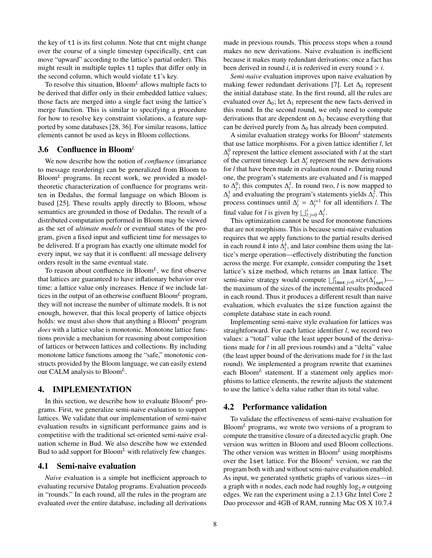the key of t1 is its first column. Note that cnt might change over the course of a single timestep (specifically, cnt can move "upward" according to the lattice's partial order). This might result in multiple tuples t1 tuples that differ only in the second column, which would violate t1's key.

To resolve this situation, Bloom*<sup>L</sup>* allows multiple facts to be derived that differ only in their embedded lattice values; those facts are merged into a single fact using the lattice's merge function. This is similar to specifying a procedure for how to resolve key constraint violations, a feature supported by some databases [\[28,](#page-15-18) [36\]](#page-16-4). For similar reasons, lattice elements cannot be used as keys in Bloom collections.

#### 3.6 Confluence in Bloom*<sup>L</sup>*

We now describe how the notion of *confluence* (invariance to message reordering) can be generalized from Bloom to Bloom<sup>L</sup> programs. In recent work, we provided a modeltheoretic characterization of confluence for programs written in Dedalus, the formal language on which Bloom is based [\[25\]](#page-15-9). These results apply directly to Bloom, whose semantics are grounded in those of Dedalus. The result of a distributed computation performed in Bloom may be viewed as the set of *ultimate models* or eventual states of the program, given a fixed input and sufficient time for messages to be delivered. If a program has exactly one ultimate model for every input, we say that it is confluent: all message delivery orders result in the same eventual state.

To reason about confluence in Bloom*<sup>L</sup>* , we first observe that lattices are guaranteed to have inflationary behavior over time: a lattice value only increases. Hence if we include lattices in the output of an otherwise confluent Bloom*<sup>L</sup>* program, they will not increase the number of ultimate models. It is not enough, however, that this local property of lattice objects holds: we must also show that anything a Bloom<sup>L</sup> program *does* with a lattice value is monotonic. Monotone lattice functions provide a mechanism for reasoning about composition of lattices or between lattices and collections. By including monotone lattice functions among the "safe," monotonic constructs provided by the Bloom language, we can easily extend our CALM analysis to Bloom*<sup>L</sup>* .

#### <span id="page-9-0"></span>4. IMPLEMENTATION

In this section, we describe how to evaluate Bloom*<sup>L</sup>* programs. First, we generalize semi-naive evaluation to support lattices. We validate that our implementation of semi-naive evaluation results in significant performance gains and is competitive with the traditional set-oriented semi-naive evaluation scheme in Bud. We also describe how we extended Bud to add support for Bloom<sup>L</sup> with relatively few changes.

#### <span id="page-9-1"></span>4.1 Semi-naive evaluation

*Naive* evaluation is a simple but inefficient approach to evaluating recursive Datalog programs. Evaluation proceeds in "rounds." In each round, all the rules in the program are evaluated over the entire database, including all derivations

made in previous rounds. This process stops when a round makes no new derivations. Naive evaluation is inefficient because it makes many redundant derivations: once a fact has been derived in round *i*, it is rederived in every round  $> i$ .

*Semi-naive* evaluation improves upon naive evaluation by making fewer redundant derivations [\[7\]](#page-15-12). Let  $\Delta_0$  represent the initial database state. In the first round, all the rules are evaluated over  $\Delta_0$ ; let  $\Delta_1$  represent the new facts derived in this round. In the second round, we only need to compute derivations that are dependent on  $\Delta_1$  because everything that can be derived purely from  $\Delta_0$  has already been computed.

A similar evaluation strategy works for Bloom*<sup>L</sup>* statements that use lattice morphisms. For a given lattice identifier *l*, let  $\Delta_l^0$  represent the lattice element associated with *l* at the start of the current timestep. Let  $\Delta_l^r$  represent the new derivations for *l* that have been made in evaluation round *r*. During round one, the program's statements are evaluated and *l* is mapped to  $\Delta_l^0$ ; this computes  $\Delta_l^1$ . In round two, *l* is now mapped to  $\Delta_l^1$  and evaluating the program's statements yields  $\Delta_l^2$ . This process continues until  $\Delta_l^i = \Delta_l^{i+1}$  for all identifiers *l*. The final value for *l* is given by  $\bigsqcup_{l:j=0}^{i} \Delta_l^{j}$ *l* .

This optimization cannot be used for monotone functions that are not morphisms. This is because semi-naive evaluation requires that we apply functions to the partial results derived in each round *k* into  $\Delta_l^k$ , and later combine them using the lattice's merge operation—effectively distributing the function across the merge. For example, consider computing the lset lattice's size method, which returns an lmax lattice. The semi-naive strategy would compute  $\bigsqcup_{m=1}^{i} size(\Delta_{1set}^{j})$ the maximum of the sizes of the incremental results produced in each round. Thus it produces a different result than naive evaluation, which evaluates the size function against the complete database state in each round.

Implementing semi-naive style evaluation for lattices was straightforward. For each lattice identifier *l*, we record two values: a "total" value (the least upper bound of the derivations made for *l* in all previous rounds) and a "delta" value (the least upper bound of the derivations made for *l* in the last round). We implemented a program rewrite that examines each Bloom<sup>L</sup> statement. If a statement only applies morphisms to lattice elements, the rewrite adjusts the statement to use the lattice's delta value rather than its total value.

#### 4.2 Performance validation

To validate the effectiveness of semi-naive evaluation for Bloom*<sup>L</sup>* programs, we wrote two versions of a program to compute the transitive closure of a directed acyclic graph. One version was written in Bloom and used Bloom collections. The other version was written in Bloom*<sup>L</sup>* using morphisms over the lset lattice. For the Bloom*<sup>L</sup>* version, we ran the program both with and without semi-naive evaluation enabled. As input, we generated synthetic graphs of various sizes—in a graph with *n* nodes, each node had roughly  $\log_2 n$  outgoing edges. We ran the experiment using a 2.13 Ghz Intel Core 2 Duo processor and 4GB of RAM, running Mac OS X 10.7.4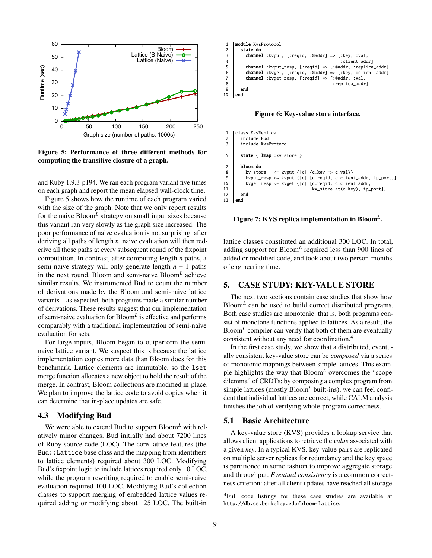

<span id="page-10-1"></span>Figure 5: Performance of three different methods for computing the transitive closure of a graph.

and Ruby 1.9.3-p194. We ran each program variant five times on each graph and report the mean elapsed wall-clock time.

Figure [5](#page-10-1) shows how the runtime of each program varied with the size of the graph. Note that we only report results for the naive Bloom*<sup>L</sup>* strategy on small input sizes because this variant ran very slowly as the graph size increased. The poor performance of naive evaluation is not surprising: after deriving all paths of length *n*, naive evaluation will then rederive all those paths at every subsequent round of the fixpoint computation. In contrast, after computing length *n* paths, a semi-naive strategy will only generate length *n* + 1 paths in the next round. Bloom and semi-naive Bloom*<sup>L</sup>* achieve similar results. We instrumented Bud to count the number of derivations made by the Bloom and semi-naive lattice variants—as expected, both programs made a similar number of derivations. These results suggest that our implementation of semi-naive evaluation for Bloom*<sup>L</sup>* is effective and performs comparably with a traditional implementation of semi-naive evaluation for sets.

For large inputs, Bloom began to outperform the seminaive lattice variant. We suspect this is because the lattice implementation copies more data than Bloom does for this benchmark. Lattice elements are immutable, so the lset merge function allocates a new object to hold the result of the merge. In contrast, Bloom collections are modified in-place. We plan to improve the lattice code to avoid copies when it can determine that in-place updates are safe.

#### 4.3 Modifying Bud

We were able to extend Bud to support Bloom*<sup>L</sup>* with relatively minor changes. Bud initially had about 7200 lines of Ruby source code (LOC). The core lattice features (the Bud::Lattice base class and the mapping from identifiers to lattice elements) required about 300 LOC. Modifying Bud's fixpoint logic to include lattices required only 10 LOC, while the program rewriting required to enable semi-naive evaluation required 100 LOC. Modifying Bud's collection classes to support merging of embedded lattice values required adding or modifying about 125 LOC. The built-in

```
1 module KvsProtocol
 \begin{array}{c|c} 2 & \text{state do} \\ 3 & \text{channe} \end{array}3 channel :kvput, [:reqid, :@addr] => [:key, :val, 4 client_add
                                                                 :client_addrl
 5 channel :kvput_resp, [:reqid] => [:@addr, :replica_addr] 6 channel :kvqet, [:reqid, :@addr] => [:key, :client_addr]
 6 channel :kvget, [:reqid, :@addr] => [:key, :client_addr] \overline{7} channel :kvget resp. [:reqid] => [:@addr. :val.
            channel :kvget_resp, [:reqid] => [:@addr, :val,
 8 : replica_addr]<br>9 end
         end
10 end
```
<span id="page-10-3"></span>Figure 6: Key-value store interface.

```
1 | class KvsReplica
 2 include Bud
 3 include KvsProtocol
 5 state { lmap : kv_store }
 7 bloom do
8 | kv_store \leq kvput {|c| {c.key => c.val}}
9 | kvput_resp <~ kvput {|c| [c.reqid, c.client_addr, ip_port]}
10 kvget_resp <~ kvget {|c| [c.reqid, c.client_addr, 11
                                      kv_store.at(c.key), ip_port]}
\begin{array}{c|c} 12 & \text{end} \\ 13 & \text{end} \end{array}end
```
<span id="page-10-4"></span>Figure 7: KVS replica implementation in Bloom*<sup>L</sup>* .

lattice classes constituted an additional 300 LOC. In total, adding support for Bloom*<sup>L</sup>* required less than 900 lines of added or modified code, and took about two person-months of engineering time.

## <span id="page-10-0"></span>5. CASE STUDY: KEY-VALUE STORE

The next two sections contain case studies that show how Bloom*<sup>L</sup>* can be used to build correct distributed programs. Both case studies are monotonic: that is, both programs consist of monotone functions applied to lattices. As a result, the Bloom*<sup>L</sup>* compiler can verify that both of them are eventually consistent without any need for coordination.[4](#page-10-2)

In the first case study, we show that a distributed, eventually consistent key-value store can be *composed* via a series of monotonic mappings between simple lattices. This example highlights the way that Bloom*<sup>L</sup>* overcomes the "scope dilemma" of CRDTs: by composing a complex program from simple lattices (mostly  $Bloom<sup>L</sup>$  built-ins), we can feel confident that individual lattices are correct, while CALM analysis finishes the job of verifying whole-program correctness.

#### 5.1 Basic Architecture

A key-value store (KVS) provides a lookup service that allows client applications to retrieve the *value* associated with a given *key*. In a typical KVS, key-value pairs are replicated on multiple server replicas for redundancy and the key space is partitioned in some fashion to improve aggregate storage and throughput. *Eventual consistency* is a common correctness criterion: after all client updates have reached all storage

<span id="page-10-2"></span><sup>4</sup>Full code listings for these case studies are available at <http://db.cs.berkeley.edu/bloom-lattice>.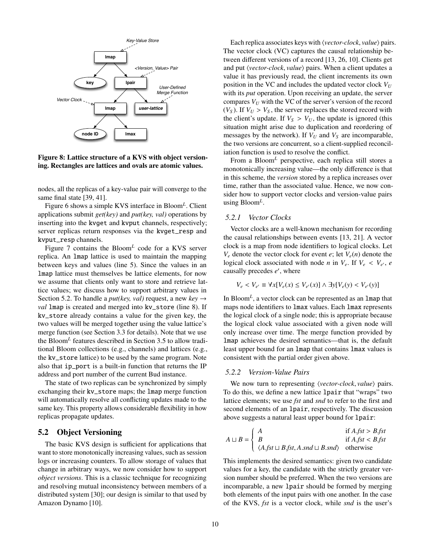

<span id="page-11-1"></span>Figure 8: Lattice structure of a KVS with object versioning. Rectangles are lattices and ovals are atomic values.

nodes, all the replicas of a key-value pair will converge to the same final state [\[39,](#page-16-0) [41\]](#page-16-5).

Figure [6](#page-10-3) shows a simple KVS interface in Bloom*<sup>L</sup>* . Client applications submit *get(key)* and *put(key, val)* operations by inserting into the kvget and kvput channels, respectively; server replicas return responses via the kvget\_resp and kvput\_resp channels.

Figure [7](#page-10-4) contains the Bloom*<sup>L</sup>* code for a KVS server replica. An lmap lattice is used to maintain the mapping between keys and values (line [5\)](#page-10-5). Since the values in an lmap lattice must themselves be lattice elements, for now we assume that clients only want to store and retrieve lattice values; we discuss how to support arbitrary values in Section [5.2.](#page-11-0) To handle a *put(key, val)* request, a new *key* → *val* lmap is created and merged into kv\_store (line [8\)](#page-10-6). If kv\_store already contains a value for the given key, the two values will be merged together using the value lattice's merge function (see Section [3.3](#page-7-2) for details). Note that we use the Bloom*<sup>L</sup>* features described in Section [3.5](#page-8-0) to allow traditional Bloom collections (e.g., channels) and lattices (e.g., the kv\_store lattice) to be used by the same program. Note also that ip\_port is a built-in function that returns the IP address and port number of the current Bud instance.

The state of two replicas can be synchronized by simply exchanging their kv\_store maps; the lmap merge function will automatically resolve all conflicting updates made to the same key. This property allows considerable flexibility in how replicas propagate updates.

#### <span id="page-11-0"></span>5.2 Object Versioning

The basic KVS design is sufficient for applications that want to store monotonically increasing values, such as session logs or increasing counters. To allow storage of values that change in arbitrary ways, we now consider how to support *object versions*. This is a classic technique for recognizing and resolving mutual inconsistency between members of a distributed system [\[30\]](#page-15-19); our design is similar to that used by Amazon Dynamo [\[10\]](#page-15-20).

Each replica associates keys with  $\langle vector\text{-}clock, value \rangle$  pairs. The vector clock (VC) captures the causal relationship between different versions of a record [\[13,](#page-15-21) [26,](#page-15-22) [10\]](#page-15-20). Clients get and put *(vector-clock, value)* pairs. When a client updates a value it has previously read, the client increments its own position in the VC and includes the updated vector clock  $V_U$ with its *put* operation. Upon receiving an update, the server compares  $V_U$  with the VC of the server's version of the record  $(V<sub>S</sub>)$ . If  $V<sub>U</sub> > V<sub>S</sub>$ , the server replaces the stored record with the client's update. If  $V_s > V_U$ , the update is ignored (this situation might arise due to duplication and reordering of messages by the network). If  $V_U$  and  $V_S$  are incomparable, the two versions are concurrent, so a client-supplied reconciliation function is used to resolve the conflict.

From a Bloom*<sup>L</sup>* perspective, each replica still stores a monotonically increasing value—the only difference is that in this scheme, the *version* stored by a replica increases over time, rather than the associated value. Hence, we now consider how to support vector clocks and version-value pairs using Bloom*<sup>L</sup>* .

#### *5.2.1 Vector Clocks*

Vector clocks are a well-known mechanism for recording the causal relationships between events [\[13,](#page-15-21) [21\]](#page-15-23). A vector clock is a map from node identifiers to logical clocks. Let  $V_e$  denote the vector clock for event *e*; let  $V_e(n)$  denote the logical clock associated with node *n* in  $V_e$ . If  $V_e \, \leq \, V_{e'}$ , *e* causally precedes *e'* where causally precedes e', where

$$
V_e < V_{e'} \equiv \forall x [V_e(x) \le V_{e'}(x)] \land \exists y [V_e(y) < V_{e'}(y)]
$$

In Bloom<sup>L</sup>, a vector clock can be represented as an lmap that maps node identifiers to lmax values. Each lmax represents the logical clock of a single node; this is appropriate because the logical clock value associated with a given node will only increase over time. The merge function provided by lmap achieves the desired semantics—that is, the default least upper bound for an lmap that contains lmax values is consistent with the partial order given above.

#### *5.2.2 Version-Value Pairs*

We now turn to representing  $\langle vector-clock, value \rangle$  pairs. To do this, we define a new lattice lpair that "wraps" two lattice elements; we use *fst* and *snd* to refer to the first and second elements of an lpair, respectively. The discussion above suggests a natural least upper bound for lpair:

$$
A \sqcup B = \begin{cases} A & \text{if } A, \text{fst} > B, \text{fst} \\ B & \text{if } A, \text{fst} < B, \text{fst} \\ \langle A, \text{fst} \sqcup B, \text{fst}, A, \text{snd} \sqcup B, \text{snd} \rangle & \text{otherwise} \end{cases}
$$

This implements the desired semantics: given two candidate values for a key, the candidate with the strictly greater version number should be preferred. When the two versions are incomparable, a new lpair should be formed by merging both elements of the input pairs with one another. In the case of the KVS, *fst* is a vector clock, while *snd* is the user's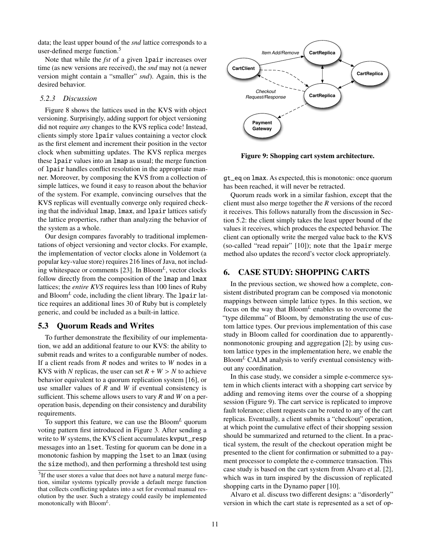data; the least upper bound of the *snd* lattice corresponds to a user-defined merge function.<sup>[5](#page-12-1)</sup>

Note that while the *fst* of a given lpair increases over time (as new versions are received), the *snd* may not (a newer version might contain a "smaller" *snd*). Again, this is the desired behavior.

#### *5.2.3 Discussion*

Figure [8](#page-11-1) shows the lattices used in the KVS with object versioning. Surprisingly, adding support for object versioning did not require *any* changes to the KVS replica code! Instead, clients simply store lpair values containing a vector clock as the first element and increment their position in the vector clock when submitting updates. The KVS replica merges these lpair values into an lmap as usual; the merge function of lpair handles conflict resolution in the appropriate manner. Moreover, by composing the KVS from a collection of simple lattices, we found it easy to reason about the behavior of the system. For example, convincing ourselves that the KVS replicas will eventually converge only required checking that the individual lmap, lmax, and lpair lattices satisfy the lattice properties, rather than analyzing the behavior of the system as a whole.

Our design compares favorably to traditional implementations of object versioning and vector clocks. For example, the implementation of vector clocks alone in Voldemort (a popular key-value store) requires 216 lines of Java, not including whitespace or comments [\[23\]](#page-15-24). In Bloom*<sup>L</sup>* , vector clocks follow directly from the composition of the lmap and lmax lattices; the *entire KVS* requires less than 100 lines of Ruby and Bloom*<sup>L</sup>* code, including the client library. The lpair lattice requires an additional lines 30 of Ruby but is completely generic, and could be included as a built-in lattice.

## 5.3 Quorum Reads and Writes

To further demonstrate the flexibility of our implementation, we add an additional feature to our KVS: the ability to submit reads and writes to a configurable number of nodes. If a client reads from *R* nodes and writes to *W* nodes in a KVS with *N* replicas, the user can set  $R + W > N$  to achieve behavior equivalent to a quorum replication system [\[16\]](#page-15-17), or use smaller values of *R* and *W* if eventual consistency is sufficient. This scheme allows users to vary *R* and *W* on a peroperation basis, depending on their consistency and durability requirements.

To support this feature, we can use the Bloom*<sup>L</sup>* quorum voting pattern first introduced in Figure [3.](#page-6-0) After sending a write to *W* systems, the KVS client accumulates kvput\_resp messages into an lset. Testing for quorum can be done in a monotonic fashion by mapping the lset to an lmax (using the size method), and then performing a threshold test using



<span id="page-12-2"></span>Figure 9: Shopping cart system architecture.

gt\_eq on lmax. As expected, this is monotonic: once quorum has been reached, it will never be retracted.

Quorum reads work in a similar fashion, except that the client must also merge together the *R* versions of the record it receives. This follows naturally from the discussion in Section [5.2:](#page-11-0) the client simply takes the least upper bound of the values it receives, which produces the expected behavior. The client can optionally write the merged value back to the KVS (so-called "read repair" [\[10\]](#page-15-20)); note that the lpair merge method also updates the record's vector clock appropriately.

## <span id="page-12-0"></span>6. CASE STUDY: SHOPPING CARTS

In the previous section, we showed how a complete, consistent distributed program can be composed via monotonic mappings between simple lattice types. In this section, we focus on the way that Bloom*<sup>L</sup>* enables us to overcome the "type dilemma" of Bloom, by demonstrating the use of custom lattice types. Our previous implementation of this case study in Bloom called for coordination due to apparentlynonmonotonic grouping and aggregation [\[2\]](#page-15-10); by using custom lattice types in the implementation here, we enable the Bloom*<sup>L</sup>* CALM analysis to verify eventual consistency without any coordination.

In this case study, we consider a simple e-commerce system in which clients interact with a shopping cart service by adding and removing items over the course of a shopping session (Figure [9\)](#page-12-2). The cart service is replicated to improve fault tolerance; client requests can be routed to any of the cart replicas. Eventually, a client submits a "checkout" operation, at which point the cumulative effect of their shopping session should be summarized and returned to the client. In a practical system, the result of the checkout operation might be presented to the client for confirmation or submitted to a payment processor to complete the e-commerce transaction. This case study is based on the cart system from Alvaro et al. [\[2\]](#page-15-10), which was in turn inspired by the discussion of replicated shopping carts in the Dynamo paper [\[10\]](#page-15-20).

Alvaro et al. discuss two different designs: a "disorderly" version in which the cart state is represented as a set of op-

<span id="page-12-1"></span><sup>&</sup>lt;sup>5</sup>If the user stores a value that does not have a natural merge function, similar systems typically provide a default merge function that collects conflicting updates into a set for eventual manual resolution by the user. Such a strategy could easily be implemented monotonically with Bloom*<sup>L</sup>* .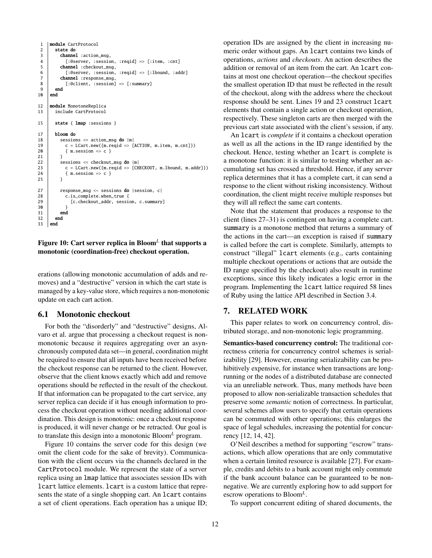```
1 module CartProtocol
2 state do<br>3 channe
3 channel :action_msg,<br>4 [:@server. :sessio
            4 [:@server, :session, :reqid] => [:item, :cnt]
5 channel :checkout_msg,<br>6 [:@server. :session.
6 [:@server, :session, :reqid] \Rightarrow [:lbound, :addr]
          channel : response_msg,
\begin{array}{c|c} 8 & : @client, :session] \Rightarrow [:summary] \ 9 & end \end{array}end
10 end
12 | module MonotoneReplica
13 include CartProtocol
15 state { lmap : sessions }
17 bloom do
18 sessions \lt = action_msg do |m|<br>19 c = LCart.new({m.regid => [
            c = LCart.new(\{m.read \Rightarrow \lceil ACTION, m.time, m.cnt \rceil\})20 {m} session \Rightarrow c }
21 }
22 sessions \leq checkout msg do |m|23 c = LCart.new({m.read \Rightarrow [CHECKOUT, m.lbound, m.addr]})
24 {m. session \Rightarrow c}<br>25 }
25 }
27 response_msq \lt\sim sessions do |session, c|
28 c.is complete.when true {
29 [c.checkout_addr, session, c.summary]
30 }
31 end
32 end
33 end
```
<span id="page-13-4"></span><span id="page-13-3"></span><span id="page-13-2"></span><span id="page-13-1"></span><span id="page-13-0"></span>Figure 10: Cart server replica in Bloom*<sup>L</sup>* that supports a monotonic (coordination-free) checkout operation.

erations (allowing monotonic accumulation of adds and removes) and a "destructive" version in which the cart state is managed by a key-value store, which requires a non-monotonic update on each cart action.

#### <span id="page-13-5"></span>6.1 Monotonic checkout

For both the "disorderly" and "destructive" designs, Alvaro et al. argue that processing a checkout request is nonmonotonic because it requires aggregating over an asynchronously computed data set—in general, coordination might be required to ensure that all inputs have been received before the checkout response can be returned to the client. However, observe that the client knows exactly which add and remove operations should be reflected in the result of the checkout. If that information can be propagated to the cart service, any server replica can decide if it has enough information to process the checkout operation without needing additional coordination. This design is monotonic: once a checkout response is produced, it will never change or be retracted. Our goal is to translate this design into a monotonic Bloom*<sup>L</sup>* program.

Figure [10](#page-13-0) contains the server code for this design (we omit the client code for the sake of brevity). Communication with the client occurs via the channels declared in the CartProtocol module. We represent the state of a server replica using an lmap lattice that associates session IDs with lcart lattice elements. lcart is a custom lattice that represents the state of a single shopping cart. An lcart contains a set of client operations. Each operation has a unique ID; operation IDs are assigned by the client in increasing numeric order without gaps. An lcart contains two kinds of operations, *actions* and *checkouts*. An action describes the addition or removal of an item from the cart. An lcart contains at most one checkout operation—the checkout specifies the smallest operation ID that must be reflected in the result of the checkout, along with the address where the checkout response should be sent. Lines [19](#page-13-1) and [23](#page-13-2) construct lcart elements that contain a single action or checkout operation, respectively. These singleton carts are then merged with the previous cart state associated with the client's session, if any.

An lcart is *complete* if it contains a checkout operation as well as all the actions in the ID range identified by the checkout. Hence, testing whether an lcart is complete is a monotone function: it is similar to testing whether an accumulating set has crossed a threshold. Hence, if any server replica determines that it has a complete cart, it can send a response to the client without risking inconsistency. Without coordination, the client might receive multiple responses but they will all reflect the same cart contents.

Note that the statement that produces a response to the client (lines [27–](#page-13-3)[31\)](#page-13-4) is contingent on having a complete cart. summary is a monotone method that returns a summary of the actions in the cart—an exception is raised if summary is called before the cart is complete. Similarly, attempts to construct "illegal" lcart elements (e.g., carts containing multiple checkout operations or actions that are outside the ID range specified by the checkout) also result in runtime exceptions, since this likely indicates a logic error in the program. Implementing the lcart lattice required 58 lines of Ruby using the lattice API described in Section [3.4.](#page-8-2)

#### 7. RELATED WORK

This paper relates to work on concurrency control, distributed storage, and non-monotonic logic programming.

Semantics-based concurrency control: The traditional correctness criteria for concurrency control schemes is serializability [\[29\]](#page-15-25). However, ensuring serializability can be prohibitively expensive, for instance when transactions are longrunning or the nodes of a distributed database are connected via an unreliable network. Thus, many methods have been proposed to allow non-serializable transaction schedules that preserve some *semantic* notion of correctness. In particular, several schemes allow users to specify that certain operations can be commuted with other operations; this enlarges the space of legal schedules, increasing the potential for concurrency [\[12,](#page-15-3) [14,](#page-15-4) [42\]](#page-16-6).

O'Neil describes a method for supporting "escrow" transactions, which allow operations that are only commutative when a certain limited resource is available [\[27\]](#page-15-5). For example, credits and debits to a bank account might only commute if the bank account balance can be guaranteed to be nonnegative. We are currently exploring how to add support for escrow operations to Bloom*<sup>L</sup>* .

To support concurrent editing of shared documents, the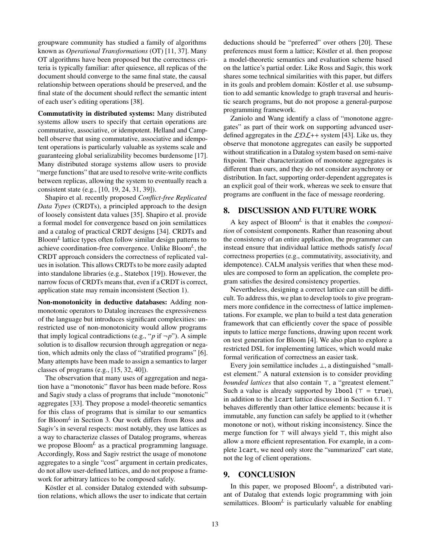groupware community has studied a family of algorithms known as *Operational Transformations* (OT) [\[11,](#page-15-6) [37\]](#page-16-1). Many OT algorithms have been proposed but the correctness criteria is typically familiar: after quiesence, all replicas of the document should converge to the same final state, the causal relationship between operations should be preserved, and the final state of the document should reflect the semantic intent of each user's editing operations [\[38\]](#page-16-7).

Commutativity in distributed systems: Many distributed systems allow users to specify that certain operations are commutative, associative, or idempotent. Helland and Campbell observe that using commutative, associative and idempotent operations is particularly valuable as systems scale and guaranteeing global serializability becomes burdensome [\[17\]](#page-15-1). Many distributed storage systems allow users to provide "merge functions" that are used to resolve write-write conflicts between replicas, allowing the system to eventually reach a consistent state (e.g., [\[10,](#page-15-20) [19,](#page-15-2) [24,](#page-15-26) [31,](#page-15-27) [39\]](#page-16-0)).

Shapiro et al. recently proposed *Conflict-free Replicated Data Types* (CRDTs), a principled approach to the design of loosely consistent data values [\[35\]](#page-16-3). Shapiro et al. provide a formal model for convergence based on join semilattices and a catalog of practical CRDT designs [\[34\]](#page-16-2). CRDTs and Bloom*<sup>L</sup>* lattice types often follow similar design patterns to achieve coordination-free convergence. Unlike Bloom*<sup>L</sup>* , the CRDT approach considers the correctness of replicated values in isolation. This allows CRDTs to be more easily adapted into standalone libraries (e.g., Statebox [\[19\]](#page-15-2)). However, the narrow focus of CRDTs means that, even if a CRDT is correct, application state may remain inconsistent (Section [1\)](#page-2-0).

Non-monotonicity in deductive databases: Adding nonmonotonic operators to Datalog increases the expressiveness of the language but introduces significant complexities: unrestricted use of non-monotonicity would allow programs that imply logical contradictions (e.g., " $p$  if  $\neg p$ "). A simple solution is to disallow recursion through aggregation or negation, which admits only the class of "stratified programs" [\[6\]](#page-15-15). Many attempts have been made to assign a semantics to larger classes of programs (e.g., [\[15,](#page-15-28) [32,](#page-15-29) [40\]](#page-16-8)).

The observation that many uses of aggregation and negation have a "monotonic" flavor has been made before. Ross and Sagiv study a class of programs that include "monotonic" aggregates [\[33\]](#page-15-30). They propose a model-theoretic semantics for this class of programs that is similar to our semantics for Bloom*<sup>L</sup>* in Section [3.](#page-5-0) Our work differs from Ross and Sagiv's in several respects: most notably, they use lattices as a way to characterize classes of Datalog programs, whereas we propose Bloom*<sup>L</sup>* as a practical programming language. Accordingly, Ross and Sagiv restrict the usage of monotone aggregates to a single "cost" argument in certain predicates, do not allow user-defined lattices, and do not propose a framework for arbitrary lattices to be composed safely.

Köstler et al. consider Datalog extended with subsumption relations, which allows the user to indicate that certain deductions should be "preferred" over others [\[20\]](#page-15-31). These preferences must form a lattice; Köstler et al. then propose a model-theoretic semantics and evaluation scheme based on the lattice's partial order. Like Ross and Sagiv, this work shares some technical similarities with this paper, but differs in its goals and problem domain: Köstler et al. use subsumption to add semantic knowledge to graph traversal and heuristic search programs, but do not propose a general-purpose programming framework.

Zaniolo and Wang identify a class of "monotone aggregates" as part of their work on supporting advanced userdefined aggregates in the  $LDL++$  system [\[43\]](#page-16-9). Like us, they observe that monotone aggregates can easily be supported without stratification in a Datalog system based on semi-naive fixpoint. Their characterization of monotone aggregates is different than ours, and they do not consider asynchrony or distribution. In fact, supporting order-dependent aggregates is an explicit goal of their work, whereas we seek to ensure that programs are confluent in the face of message reordering.

## 8. DISCUSSION AND FUTURE WORK

A key aspect of Bloom*<sup>L</sup>* is that it enables the *composition* of consistent components. Rather than reasoning about the consistency of an entire application, the programmer can instead ensure that individual lattice methods satisfy *local* correctness properties (e.g., commutativity, associativity, and idempotence). CALM analysis verifies that when these modules are composed to form an application, the complete program satisfies the desired consistency properties.

Nevertheless, designing a correct lattice can still be difficult. To address this, we plan to develop tools to give programmers more confidence in the correctness of lattice implementations. For example, we plan to build a test data generation framework that can efficiently cover the space of possible inputs to lattice merge functions, drawing upon recent work on test generation for Bloom [\[4\]](#page-15-32). We also plan to explore a restricted DSL for implementing lattices, which would make formal verification of correctness an easier task.

Every join semilattice includes ⊥, a distinguished "smallest element." A natural extension is to consider providing *bounded lattices* that also contain  $\top$ , a "greatest element." Such a value is already supported by 1bool ( $\tau$  = true), in addition to the  $lcart$  lattice discussed in Section [6.1.](#page-13-5)  $\top$ behaves differently than other lattice elements: because it is immutable, any function can safely be applied to it (whether monotone or not), without risking inconsistency. Since the merge function for  $\top$  will always yield  $\top$ , this might also allow a more efficient representation. For example, in a complete lcart, we need only store the "summarized" cart state, not the log of client operations.

#### 9. CONCLUSION

In this paper, we proposed Bloom*<sup>L</sup>* , a distributed variant of Datalog that extends logic programming with join semilattices. Bloom<sup>L</sup> is particularly valuable for enabling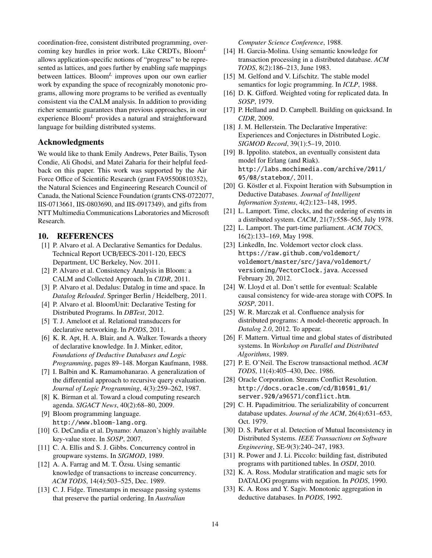coordination-free, consistent distributed programming, overcoming key hurdles in prior work. Like CRDTs, Bloom*<sup>L</sup>* allows application-specific notions of "progress" to be represented as lattices, and goes further by enabling safe mappings between lattices. Bloom*<sup>L</sup>* improves upon our own earlier work by expanding the space of recognizably monotonic programs, allowing more programs to be verified as eventually consistent via the CALM analysis. In addition to providing richer semantic guarantees than previous approaches, in our experience Bloom*<sup>L</sup>* provides a natural and straightforward language for building distributed systems.

#### Acknowledgments

We would like to thank Emily Andrews, Peter Bailis, Tyson Condie, Ali Ghodsi, and Matei Zaharia for their helpful feedback on this paper. This work was supported by the Air Force Office of Scientific Research (grant FA95500810352), the Natural Sciences and Engineering Research Council of Canada, the National Science Foundation (grants CNS-0722077, IIS-0713661, IIS-0803690, and IIS-0917349), and gifts from NTT Multimedia Communications Laboratories and Microsoft Research.

## 10. REFERENCES

- <span id="page-15-13"></span>[1] P. Alvaro et al. A Declarative Semantics for Dedalus. Technical Report UCB/EECS-2011-120, EECS Department, UC Berkeley, Nov. 2011.
- <span id="page-15-10"></span>[2] P. Alvaro et al. Consistency Analysis in Bloom: a CALM and Collected Approach. In *CIDR*, 2011.
- <span id="page-15-14"></span>[3] P. Alvaro et al. Dedalus: Datalog in time and space. In *Datalog Reloaded*. Springer Berlin / Heidelberg, 2011.
- <span id="page-15-32"></span>[4] P. Alvaro et al. BloomUnit: Declarative Testing for Distributed Programs. In *DBTest*, 2012.
- <span id="page-15-7"></span>[5] T. J. Ameloot et al. Relational transducers for declarative networking. In *PODS*, 2011.
- <span id="page-15-15"></span>[6] K. R. Apt, H. A. Blair, and A. Walker. Towards a theory of declarative knowledge. In J. Minker, editor, *Foundations of Deductive Databases and Logic Programming*, pages 89–148. Morgan Kaufmann, 1988.
- <span id="page-15-12"></span>[7] I. Balbin and K. Ramamohanarao. A generalization of the differential approach to recursive query evaluation. *Journal of Logic Programming*, 4(3):259–262, 1987.
- <span id="page-15-0"></span>[8] K. Birman et al. Toward a cloud computing research agenda. *SIGACT News*, 40(2):68–80, 2009.
- <span id="page-15-11"></span>[9] Bloom programming language. <http://www.bloom-lang.org>.
- <span id="page-15-20"></span>[10] G. DeCandia et al. Dynamo: Amazon's highly available key-value store. In *SOSP*, 2007.
- <span id="page-15-6"></span>[11] C. A. Ellis and S. J. Gibbs. Concurrency control in groupware systems. In *SIGMOD*, 1989.
- <span id="page-15-3"></span>[12] A. A. Farrag and M. T. Özsu. Using semantic knowledge of transactions to increase concurrency. *ACM TODS*, 14(4):503–525, Dec. 1989.
- <span id="page-15-21"></span>[13] C. J. Fidge. Timestamps in message passing systems that preserve the partial ordering. In *Australian*

*Computer Science Conference*, 1988.

- <span id="page-15-4"></span>[14] H. Garcia-Molina. Using semantic knowledge for transaction processing in a distributed database. *ACM TODS*, 8(2):186–213, June 1983.
- <span id="page-15-28"></span>[15] M. Gelfond and V. Lifschitz. The stable model semantics for logic programming. In *ICLP*, 1988.
- <span id="page-15-17"></span>[16] D. K. Gifford. Weighted voting for replicated data. In *SOSP*, 1979.
- <span id="page-15-1"></span>[17] P. Helland and D. Campbell. Building on quicksand. In *CIDR*, 2009.
- <span id="page-15-8"></span>[18] J. M. Hellerstein. The Declarative Imperative: Experiences and Conjectures in Distributed Logic. *SIGMOD Record*, 39(1):5–19, 2010.
- <span id="page-15-2"></span>[19] B. Ippolito. statebox, an eventually consistent data model for Erlang (and Riak). [http://labs.mochimedia.com/archive/2011/](http://labs.mochimedia.com/archive/2011/05/08/statebox/) [05/08/statebox/](http://labs.mochimedia.com/archive/2011/05/08/statebox/), 2011.
- <span id="page-15-31"></span>[20] G. Köstler et al. Fixpoint Iteration with Subsumption in Deductive Databases. *Journal of Intelligent Information Systems*, 4(2):123–148, 1995.
- <span id="page-15-23"></span>[21] L. Lamport. Time, clocks, and the ordering of events in a distributed system. *CACM*, 21(7):558–565, July 1978.
- <span id="page-15-16"></span>[22] L. Lamport. The part-time parliament. *ACM TOCS*, 16(2):133–169, May 1998.
- <span id="page-15-24"></span>[23] LinkedIn, Inc. Voldemort vector clock class. [https://raw.github.com/voldemort/](https://raw.github.com/voldemort/voldemort/master/src/java/voldemort/versioning/VectorClock.java) [voldemort/master/src/java/voldemort/](https://raw.github.com/voldemort/voldemort/master/src/java/voldemort/versioning/VectorClock.java) [versioning/VectorClock.java](https://raw.github.com/voldemort/voldemort/master/src/java/voldemort/versioning/VectorClock.java). Accessed February 20, 2012.
- <span id="page-15-26"></span>[24] W. Lloyd et al. Don't settle for eventual: Scalable causal consistency for wide-area storage with COPS. In *SOSP*, 2011.
- <span id="page-15-9"></span>[25] W. R. Marczak et al. Confluence analysis for distributed programs: A model-theoretic approach. In *Datalog 2.0*, 2012. To appear.
- <span id="page-15-22"></span>[26] F. Mattern. Virtual time and global states of distributed systems. In *Workshop on Parallel and Distributed Algorithms*, 1989.
- <span id="page-15-5"></span>[27] P. E. O'Neil. The Escrow transactional method. *ACM TODS*, 11(4):405–430, Dec. 1986.
- <span id="page-15-18"></span>[28] Oracle Corporation. Streams Conflict Resolution. [http://docs.oracle.com/cd/B10501\\_01/](http://docs.oracle.com/cd/B10501_01/server.920/a96571/conflict.htm) [server.920/a96571/conflict.htm](http://docs.oracle.com/cd/B10501_01/server.920/a96571/conflict.htm).
- <span id="page-15-25"></span>[29] C. H. Papadimitriou. The serializability of concurrent database updates. *Journal of the ACM*, 26(4):631–653, Oct. 1979.
- <span id="page-15-19"></span>[30] D. S. Parker et al. Detection of Mutual Inconsistency in Distributed Systems. *IEEE Transactions on Software Engineering*, SE-9(3):240–247, 1983.
- <span id="page-15-27"></span>[31] R. Power and J. Li. Piccolo: building fast, distributed programs with partitioned tables. In *OSDI*, 2010.
- <span id="page-15-29"></span>[32] K. A. Ross. Modular stratification and magic sets for DATALOG programs with negation. In *PODS*, 1990.
- <span id="page-15-30"></span>[33] K. A. Ross and Y. Sagiv. Monotonic aggregation in deductive databases. In *PODS*, 1992.